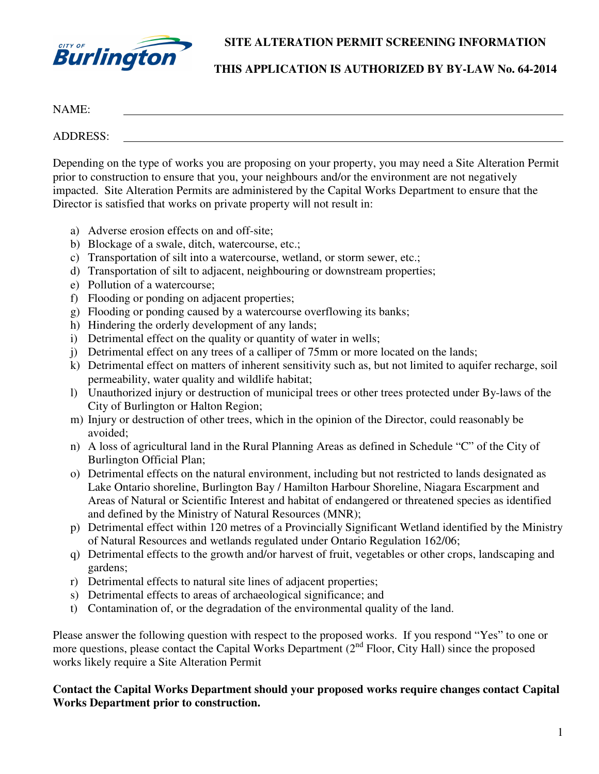

**SITE ALTERATION PERMIT SCREENING INFORMATION** 

## **THIS APPLICATION IS AUTHORIZED BY BY-LAW No. 64-2014**

| <b>NIA ME</b> |  |  |  |
|---------------|--|--|--|
|               |  |  |  |

ADDRESS:

Depending on the type of works you are proposing on your property, you may need a Site Alteration Permit prior to construction to ensure that you, your neighbours and/or the environment are not negatively impacted. Site Alteration Permits are administered by the Capital Works Department to ensure that the Director is satisfied that works on private property will not result in:

- a) Adverse erosion effects on and off-site;
- b) Blockage of a swale, ditch, watercourse, etc.;
- c) Transportation of silt into a watercourse, wetland, or storm sewer, etc.;
- d) Transportation of silt to adjacent, neighbouring or downstream properties;
- e) Pollution of a watercourse;
- f) Flooding or ponding on adjacent properties;
- g) Flooding or ponding caused by a watercourse overflowing its banks;
- h) Hindering the orderly development of any lands;
- i) Detrimental effect on the quality or quantity of water in wells;
- j) Detrimental effect on any trees of a calliper of 75mm or more located on the lands;
- k) Detrimental effect on matters of inherent sensitivity such as, but not limited to aquifer recharge, soil permeability, water quality and wildlife habitat;
- l) Unauthorized injury or destruction of municipal trees or other trees protected under By-laws of the City of Burlington or Halton Region;
- m) Injury or destruction of other trees, which in the opinion of the Director, could reasonably be avoided;
- n) A loss of agricultural land in the Rural Planning Areas as defined in Schedule "C" of the City of Burlington Official Plan;
- o) Detrimental effects on the natural environment, including but not restricted to lands designated as Lake Ontario shoreline, Burlington Bay / Hamilton Harbour Shoreline, Niagara Escarpment and Areas of Natural or Scientific Interest and habitat of endangered or threatened species as identified and defined by the Ministry of Natural Resources (MNR);
- p) Detrimental effect within 120 metres of a Provincially Significant Wetland identified by the Ministry of Natural Resources and wetlands regulated under Ontario Regulation 162/06;
- q) Detrimental effects to the growth and/or harvest of fruit, vegetables or other crops, landscaping and gardens;
- r) Detrimental effects to natural site lines of adjacent properties;
- s) Detrimental effects to areas of archaeological significance; and
- t) Contamination of, or the degradation of the environmental quality of the land.

Please answer the following question with respect to the proposed works. If you respond "Yes" to one or more questions, please contact the Capital Works Department (2<sup>nd</sup> Floor, City Hall) since the proposed works likely require a Site Alteration Permit

## **Contact the Capital Works Department should your proposed works require changes contact Capital Works Department prior to construction.**